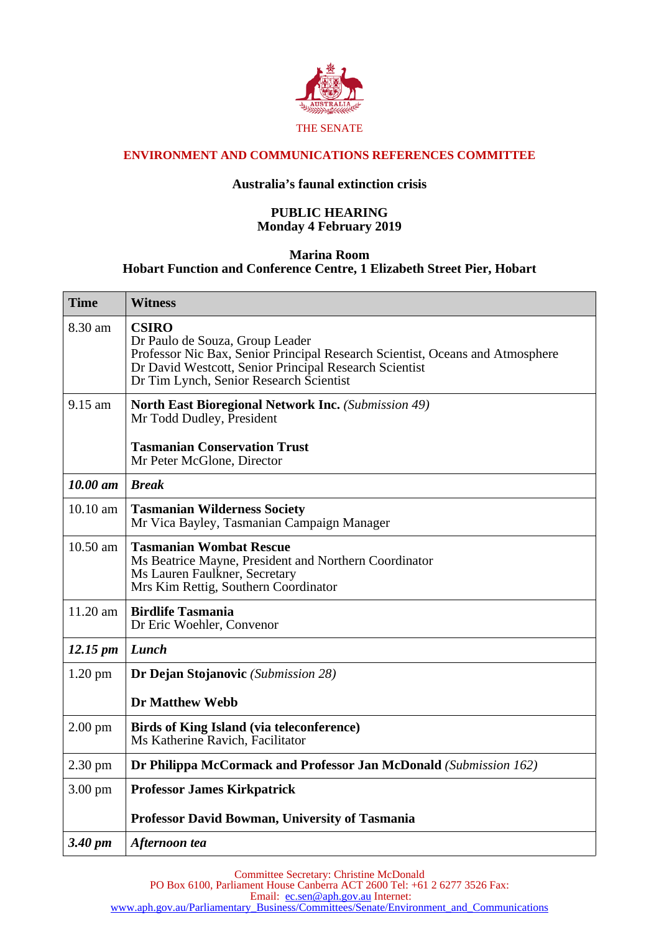

## **ENVIRONMENT AND COMMUNICATIONS REFERENCES COMMITTEE**

## **Australia's faunal extinction crisis**

## **PUBLIC HEARING Monday 4 February 2019**

## **Marina Room Hobart Function and Conference Centre, 1 Elizabeth Street Pier, Hobart**

| <b>Time</b>          | <b>Witness</b>                                                                                                                                                                                                                        |
|----------------------|---------------------------------------------------------------------------------------------------------------------------------------------------------------------------------------------------------------------------------------|
| 8.30 am              | <b>CSIRO</b><br>Dr Paulo de Souza, Group Leader<br>Professor Nic Bax, Senior Principal Research Scientist, Oceans and Atmosphere<br>Dr David Westcott, Senior Principal Research Scientist<br>Dr Tim Lynch, Senior Research Scientist |
| $9.15$ am            | <b>North East Bioregional Network Inc.</b> (Submission 49)<br>Mr Todd Dudley, President                                                                                                                                               |
|                      | <b>Tasmanian Conservation Trust</b><br>Mr Peter McGlone, Director                                                                                                                                                                     |
| $10.00$ am           | <b>Break</b>                                                                                                                                                                                                                          |
| 10.10 am             | <b>Tasmanian Wilderness Society</b><br>Mr Vica Bayley, Tasmanian Campaign Manager                                                                                                                                                     |
| $10.50$ am           | <b>Tasmanian Wombat Rescue</b><br>Ms Beatrice Mayne, President and Northern Coordinator<br>Ms Lauren Faulkner, Secretary<br>Mrs Kim Rettig, Southern Coordinator                                                                      |
| $11.20$ am           | <b>Birdlife Tasmania</b><br>Dr Eric Woehler, Convenor                                                                                                                                                                                 |
| $12.15 \, \text{pm}$ | Lunch                                                                                                                                                                                                                                 |
| 1.20 pm              | <b>Dr Dejan Stojanovic</b> (Submission 28)                                                                                                                                                                                            |
|                      | <b>Dr Matthew Webb</b>                                                                                                                                                                                                                |
| $2.00$ pm            | <b>Birds of King Island (via teleconference)</b><br>Ms Katherine Ravich, Facilitator                                                                                                                                                  |
| $2.30 \text{ pm}$    | Dr Philippa McCormack and Professor Jan McDonald (Submission 162)                                                                                                                                                                     |
| $3.00 \text{ pm}$    | <b>Professor James Kirkpatrick</b>                                                                                                                                                                                                    |
|                      | Professor David Bowman, University of Tasmania                                                                                                                                                                                        |
| 3.40 pm              | Afternoon tea                                                                                                                                                                                                                         |